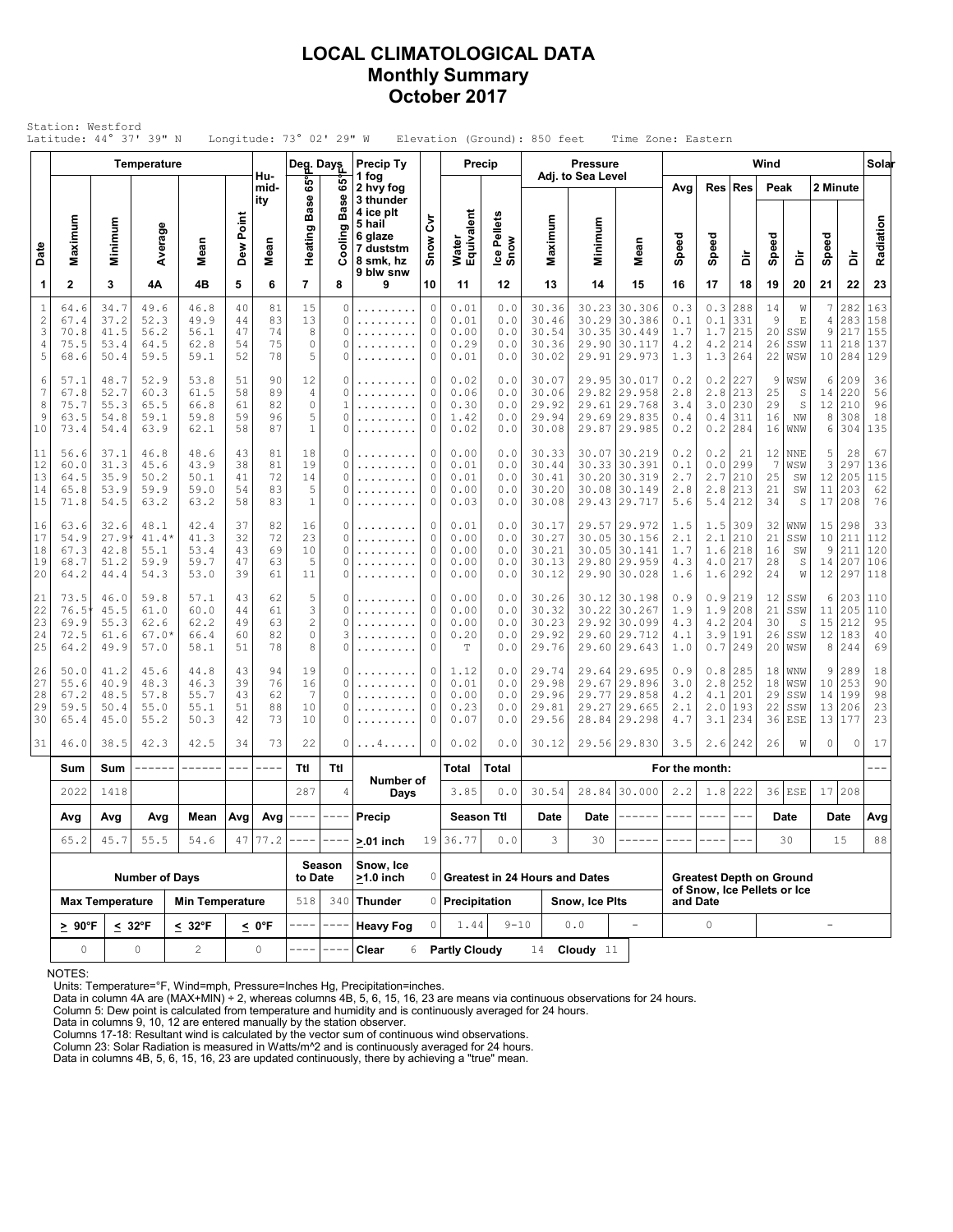### **LOCAL CLIMATOLOGICAL DATA Monthly Summary October 2017**

|                                                 | Station: Westford<br>Latitude: 44° 37' 39" N |                                      |                                         |                                      |                            |                            | Longitude: $73^{\circ}$ 02' 29" W                                |                           |                                                          |                                           |                                      |                                   | Elevation (Ground): 850 feet              |                         | Time Zone: Eastern                                                           |                                 |                                         |                                 |                            |                                        |                               |                                      |                                 |
|-------------------------------------------------|----------------------------------------------|--------------------------------------|-----------------------------------------|--------------------------------------|----------------------------|----------------------------|------------------------------------------------------------------|---------------------------|----------------------------------------------------------|-------------------------------------------|--------------------------------------|-----------------------------------|-------------------------------------------|-------------------------|------------------------------------------------------------------------------|---------------------------------|-----------------------------------------|---------------------------------|----------------------------|----------------------------------------|-------------------------------|--------------------------------------|---------------------------------|
|                                                 |                                              |                                      | Temperature                             |                                      |                            |                            | Deg. Days                                                        |                           | <b>Precip Ty</b>                                         |                                           |                                      | <b>Precip</b>                     |                                           | <b>Pressure</b>         |                                                                              |                                 |                                         |                                 | Wind                       |                                        |                               |                                      | Solar                           |
|                                                 |                                              |                                      |                                         |                                      |                            | Hu-<br>mid-<br>ity         | ទី<br><b>Base</b>                                                | 65°<br>Ф<br>Bas           | 1 fog<br>2 hvy fog<br>3 thunder<br>4 ice plt             |                                           |                                      |                                   |                                           | Adj. to Sea Level       |                                                                              | Avg                             | Res                                     | Res                             | Peak                       |                                        | 2 Minute                      |                                      |                                 |
| Date                                            | Maximum                                      | Minimum                              | Average                                 | Mean                                 | Dew Point                  | Mean                       | Heating                                                          | Cooling                   | 5 hail<br>6 glaze<br>7 duststm<br>8 smk, hz<br>9 blw snw | ξ<br>Snow                                 | Water<br>Equivalent                  | Ice Pellets<br>Snow               | Maximum                                   | Minimum                 | Mean                                                                         | Speed                           | Speed                                   | à                               | Speed                      | à                                      | Speed                         | à                                    | Radiation                       |
| 1                                               | $\mathbf{2}$                                 | 3                                    | 4Α                                      | 4B                                   | 5                          | 6                          | $\overline{\phantom{a}}$                                         | 8                         | 9                                                        | 10                                        | 11                                   | 12                                | 13                                        | 14                      | 15                                                                           | 16                              | 17                                      | 18                              | 19                         | 20                                     | 21                            | 22                                   | 23                              |
| $1\,$<br>$\overline{c}$<br>3<br>$\sqrt{4}$<br>5 | 64.6<br>67.4<br>70.8<br>75.5<br>68.6         | 34.7<br>37.2<br>41.5<br>53.4<br>50.4 | 49.6<br>52.3<br>56.2<br>64.5<br>59.5    | 46.8<br>49.9<br>56.1<br>62.8<br>59.1 | 40<br>44<br>47<br>54<br>52 | 81<br>83<br>74<br>75<br>78 | 15<br>13<br>8<br>$\mathbb O$<br>5                                | 0<br>0<br>0<br>0<br>0     | .<br>.                                                   | $\mathbb O$<br>0<br>$\mathbb O$<br>0<br>0 | 0.01<br>0.01<br>0.00<br>0.29<br>0.01 | 0.0<br>0.0<br>0.0<br>0.0<br>0.0   | 30.36<br>30.46<br>30.54<br>30.36<br>30.02 | 30.23<br>29.90          | 30.306<br>30.29 30.386<br>30.35 30.449<br>30.117<br>29.91 29.973             | 0.3<br>0.1<br>1.7<br>4.2<br>1.3 | 0.3<br>0.1<br>1.7<br>4.2<br>1.3         | 288<br>331<br>215<br>214<br>264 | 14<br>9<br>20<br>26<br>22  | W<br>Ε<br>SSW<br>SSW<br>WSW            | 7<br>4<br>9<br>11<br>10       | 282<br>283<br>217<br>218<br>284      | 163<br>158<br>155<br>137<br>129 |
| 6<br>7<br>8<br>9<br>10                          | 57.1<br>67.8<br>75.7<br>63.5<br>73.4         | 48.7<br>52.7<br>55.3<br>54.8<br>54.4 | 52.9<br>60.3<br>65.5<br>59.1<br>63.9    | 53.8<br>61.5<br>66.8<br>59.8<br>62.1 | 51<br>58<br>61<br>59<br>58 | 90<br>89<br>82<br>96<br>87 | 12<br>4<br>$\circ$<br>5<br>$\mathbf 1$                           | 0<br>0<br>0<br>0          | .<br>.                                                   | 0<br>0<br>$\circ$<br>$\mathbb O$<br>0     | 0.02<br>0.06<br>0.30<br>1.42<br>0.02 | 0.0<br>0.0<br>0.0<br>0.0<br>0.0   | 30.07<br>30.06<br>29.92<br>29.94<br>30.08 | 29.82<br>29.69          | 29.95 30.017<br>29.958<br>29.61 29.768<br>29.835<br>29.87 29.985             | 0.2<br>2.8<br>3.4<br>0.4<br>0.2 | 0.2<br>2.8<br>3.0<br>0.4<br>0.2         | 227<br>213<br>230<br>311<br>284 | 9<br>25<br>29<br>16<br>16  | WSW<br>S<br>S<br>ΝW<br>WNW             | 6<br>14<br>12<br>$\,8\,$<br>6 | 209<br>220<br>210<br>308<br>304      | 36<br>56<br>96<br>18<br>135     |
| 11<br>12<br>13<br>14<br>15                      | 56.6<br>60.0<br>64.5<br>65.8<br>71.8         | 37.1<br>31.3<br>35.9<br>53.9<br>54.5 | 46.8<br>45.6<br>50.2<br>59.9<br>63.2    | 48.6<br>43.9<br>50.1<br>59.0<br>63.2 | 43<br>38<br>41<br>54<br>58 | 81<br>81<br>72<br>83<br>83 | 18<br>19<br>14<br>5<br>$\mathbf 1$                               | 0<br>0<br>0<br>0<br>O     | .<br>.                                                   | 0<br>$\mathbb O$<br>0<br>0<br>0           | 0.00<br>0.01<br>0.01<br>0.00<br>0.03 | 0.0<br>0.0<br>0.0<br>0.0<br>0.0   | 30.33<br>30.44<br>30.41<br>30.20<br>30.08 | 30.20<br>30.08          | 30.07 30.219<br>30.33 30.391<br>30.319<br>30.149<br>29.43 29.717             | 0.2<br>0.1<br>2.7<br>2.8<br>5.6 | 0.2<br>0.0<br>2.7<br>2.8<br>5.4         | 21<br>299<br>210<br>213<br>212  | 12<br>7<br>25<br>21<br>34  | <b>NNE</b><br>WSW<br>SW<br>SW<br>S     | 5<br>3<br>12<br>11<br>17      | 28<br>297<br>205<br>203<br>208       | 67<br>136<br>115<br>62<br>76    |
| 16<br>17<br>18<br>19<br>20                      | 63.6<br>54.9<br>67.3<br>68.7<br>64.2         | 32.6<br>27.9<br>42.8<br>51.2<br>44.4 | 48.1<br>$41.4*$<br>55.1<br>59.9<br>54.3 | 42.4<br>41.3<br>53.4<br>59.7<br>53.0 | 37<br>32<br>43<br>47<br>39 | 82<br>72<br>69<br>63<br>61 | 16<br>23<br>10<br>5<br>11                                        | 0<br>0<br>0<br>0<br>0     | .<br>.                                                   | 0<br>$\mathbb O$<br>0<br>0<br>0           | 0.01<br>0.00<br>0.00<br>0.00<br>0.00 | 0.0<br>0.0<br>0.0<br>$0.0$<br>0.0 | 30.17<br>30.27<br>30.21<br>30.13<br>30.12 |                         | 29.57 29.972<br>30.05 30.156<br>30.05 30.141<br>29.80 29.959<br>29.90 30.028 | 1.5<br>2.1<br>1.7<br>4.3<br>1.6 | 1.5<br>2.1<br>1.6<br>4.0<br>1.6         | 309<br>210<br>218<br>217<br>292 | 32<br>21<br>16<br>28<br>24 | WNW<br>SSW<br>SW<br>S<br>W             | 15<br>10<br>9<br>14<br>12     | 298<br>211<br>211<br>207<br>297      | 33<br>112<br>120<br>106<br>118  |
| 21<br>22<br>23<br>24<br>25                      | 73.5<br>76.5<br>69.9<br>72.5<br>64.2         | 46.0<br>45.5<br>55.3<br>61.6<br>49.9 | 59.8<br>61.0<br>62.6<br>$67.0*$<br>57.0 | 57.1<br>60.0<br>62.2<br>66.4<br>58.1 | 43<br>44<br>49<br>60<br>51 | 62<br>61<br>63<br>82<br>78 | 5<br>$\ensuremath{\mathsf{3}}$<br>$\sqrt{2}$<br>$\mathbb O$<br>8 | 0<br>0<br>0<br>3<br>0     | .<br>.                                                   | 0<br>0<br>$\circ$<br>0<br>0               | 0.00<br>0.00<br>0.00<br>0.20<br>T    | 0.0<br>0.0<br>0.0<br>0.0<br>0.0   | 30.26<br>30.32<br>30.23<br>29.92<br>29.76 | 30.22                   | 30.12 30.198<br>30.267<br>29.92 30.099<br>29.60 29.712<br>29.60 29.643       | 0.9<br>1.9<br>4.3<br>4.1<br>1.0 | 0.9<br>1.9<br>4.2<br>3.9<br>0.7         | 219<br>208<br>204<br>191<br>249 | 12<br>21<br>30<br>26<br>20 | SSW<br>SSW<br>S<br>SSW<br>WSW          | 6<br>11<br>15<br>8            | 203<br>205<br>212<br>12 183<br>244   | 110<br>110<br>95<br>40<br>69    |
| 26<br>27<br>28<br>29<br>30                      | 50.0<br>55.6<br>67.2<br>59.5<br>65.4         | 41.2<br>40.9<br>48.5<br>50.4<br>45.0 | 45.6<br>48.3<br>57.8<br>55.0<br>55.2    | 44.8<br>46.3<br>55.7<br>55.1<br>50.3 | 43<br>39<br>43<br>51<br>42 | 94<br>76<br>62<br>88<br>73 | 19<br>16<br>$\overline{7}$<br>10<br>10                           | 0<br>0<br>0<br>0<br>0     | .                                                        | 0<br>$\circ$<br>0<br>0<br>0               | 1.12<br>0.01<br>0.00<br>0.23<br>0.07 | 0.0<br>0.0<br>0.0<br>0.0<br>0.0   | 29.74<br>29.98<br>29.96<br>29.81<br>29.56 | 29.67<br>29.27<br>28.84 | 29.64 29.695<br>29.896<br>29.77 29.858<br>29.665<br>29.298                   | 0.9<br>3.0<br>4.2<br>2.1<br>4.7 | 0.8<br>2.8<br>4.1<br>2.0<br>3.1         | 285<br>252<br>201<br>193<br>234 | 18<br>18<br>29<br>22<br>36 | <b>WNW</b><br>WSW<br>SSW<br>SSW<br>ESE | 9<br>10<br>14<br>13           | 289<br>253<br>199<br>206<br>13   177 | 18<br>90<br>98<br>23<br>23      |
| 31                                              | 46.0                                         | 38.5                                 | 42.3                                    | 42.5                                 | 34                         | 73                         | 22                                                               | 0                         | . 4                                                      | 0                                         | 0.02                                 | 0.0                               | 30.12                                     |                         | 29.56 29.830                                                                 | 3.5                             | 2.6                                     | 242                             | 26                         | W                                      | $\circ$                       | $\circ$                              | 17                              |
|                                                 | Sum                                          | Sum                                  |                                         | ------                               | $\qquad \qquad - -$        | $\frac{1}{2}$              | Ttl                                                              | Ttl                       | Number of                                                |                                           | Total                                | Total                             |                                           |                         |                                                                              | For the month:                  |                                         |                                 |                            |                                        |                               |                                      |                                 |
|                                                 | 2022                                         | 1418                                 |                                         |                                      |                            |                            | 287                                                              | 4                         | Days                                                     |                                           | 3.85                                 | 0.0                               | 30.54                                     |                         | 28.84 30.000                                                                 | 2.2                             | 1.8                                     | 222                             |                            | $36$ ESE                               |                               | 17 208                               |                                 |
|                                                 | Avg<br>Avg<br>45.7<br>65.2                   |                                      | Avg<br>55.5                             | Mean $ Avg $ Avg $ -----$<br>54.6    |                            | $47$ 77.2                  |                                                                  |                           | Precip<br>$>0.01$ inch                                   |                                           | <b>Season Ttl</b><br>19 36.77        | 0.0                               | Date<br>3                                 | Date<br>30              |                                                                              |                                 |                                         |                                 |                            | Date                                   |                               | Date<br>15                           | Avg<br>88                       |
|                                                 |                                              |                                      | <b>Number of Days</b>                   |                                      |                            |                            | to Date                                                          | Season                    | Snow, Ice<br>$>1.0$ inch                                 |                                           |                                      |                                   | 0 Greatest in 24 Hours and Dates          |                         |                                                                              |                                 | <b>Greatest Depth on Ground</b>         |                                 | 30                         |                                        |                               |                                      |                                 |
|                                                 |                                              | <b>Max Temperature</b>               |                                         | <b>Min Temperature</b>               |                            |                            | 518                                                              |                           | 340 Thunder                                              |                                           | 0 Precipitation                      |                                   |                                           | Snow, Ice Plts          |                                                                              |                                 | of Snow, Ice Pellets or Ice<br>and Date |                                 |                            |                                        |                               |                                      |                                 |
|                                                 | $\geq 90^{\circ}$ F                          |                                      | $< 32^{\circ}F$                         | $< 32^{\circ}F$                      |                            | < 0°F                      | ----                                                             | $---$<br><b>Heavy Fog</b> |                                                          | 0                                         | 1.44                                 | $9 - 10$                          |                                           | 0.0                     | $\equiv$                                                                     | $\circ$                         |                                         |                                 |                            |                                        | $\equiv$                      |                                      |                                 |
|                                                 | $\mathsf{O}$                                 |                                      | 0                                       | $\overline{c}$<br>0                  |                            |                            |                                                                  |                           | Clear<br>6                                               |                                           | <b>Partly Cloudy</b>                 |                                   | 14                                        | Cloudy $11$             |                                                                              |                                 |                                         |                                 |                            |                                        |                               |                                      |                                 |

NOTES:

Units: Temperature=°F, Wind=mph, Pressure=Inches Hg, Precipitation=inches. Data in column 4A are (MAX+MIN) ÷ 2, whereas columns 4B, 5, 6, 15, 16, 23 are means via continuous observations for 24 hours.

Column 5: Dew point is calculated from temperature and humidity and is continuously averaged for 24 hours.

Data in columns 9, 10, 12 are entered manually by the station observer. Columns 17-18: Resultant wind is calculated by the vector sum of continuous wind observations.

Column 23: Solar Radiation is measured in Watts/m^2 and is continuously averaged for 24 hours.

Data in columns 4B, 5, 6, 15, 16, 23 are updated continuously, there by achieving a "true" mean.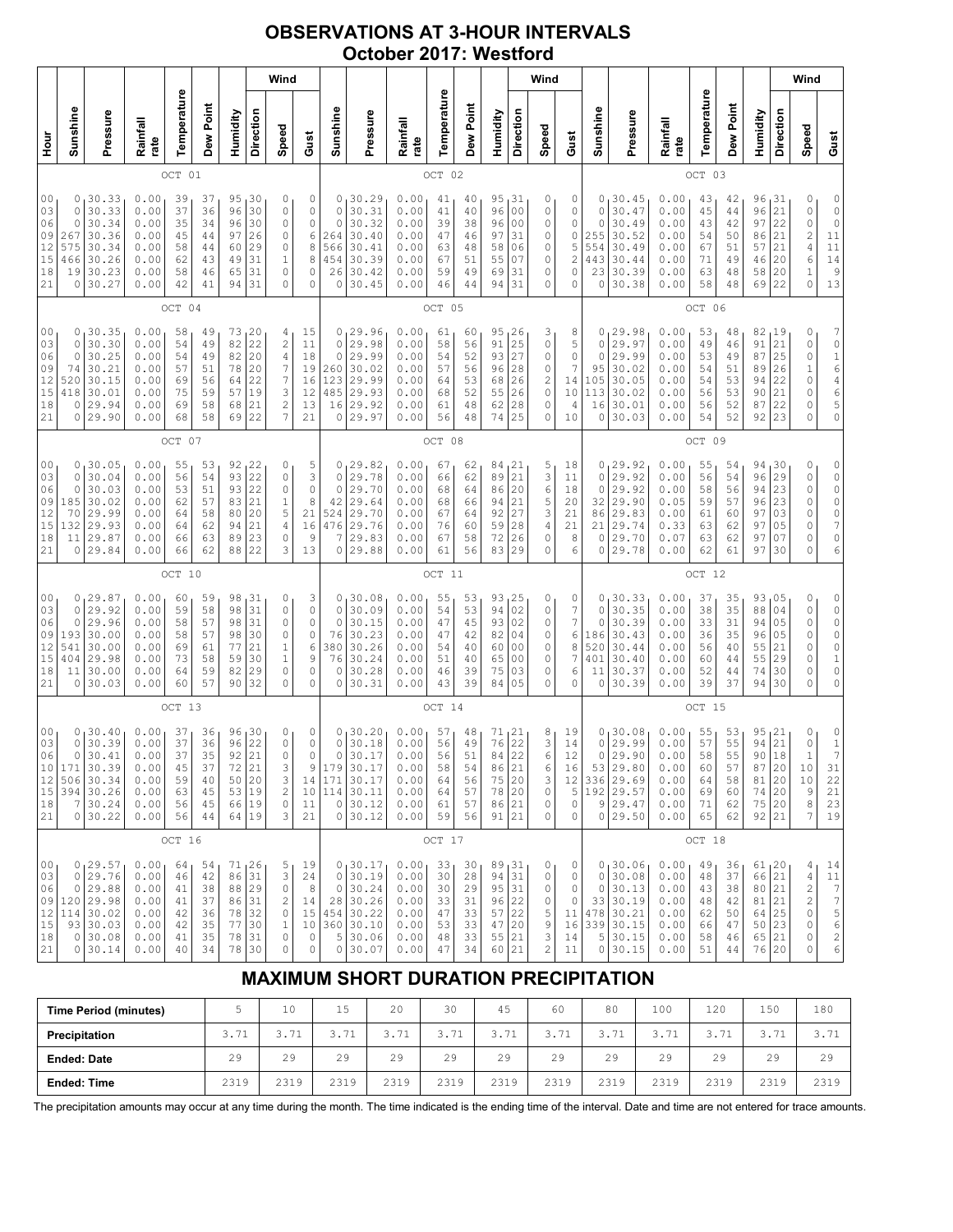## **OBSERVATIONS AT 3-HOUR INTERVALS October 2017: Westford**

| Wind                                                                                                                                                                                                                                                                                                                                                                                                                                                                                                                |                                        |                                                                                        |                                                              |                                              |                                              |                                                       |                                                             |                                                                       |                                                                       |                                                      |                                                                                   |                                                              |                                                          |                                              |                                                     | Wind                                                           |                                                                      |                                                              |                                                   |                                                                                     |                                                              |                                              |                                                                                                        |                                                                          | Wind                                   |                                                                                                                                                                                                                                                                        |                                                                                                               |
|---------------------------------------------------------------------------------------------------------------------------------------------------------------------------------------------------------------------------------------------------------------------------------------------------------------------------------------------------------------------------------------------------------------------------------------------------------------------------------------------------------------------|----------------------------------------|----------------------------------------------------------------------------------------|--------------------------------------------------------------|----------------------------------------------|----------------------------------------------|-------------------------------------------------------|-------------------------------------------------------------|-----------------------------------------------------------------------|-----------------------------------------------------------------------|------------------------------------------------------|-----------------------------------------------------------------------------------|--------------------------------------------------------------|----------------------------------------------------------|----------------------------------------------|-----------------------------------------------------|----------------------------------------------------------------|----------------------------------------------------------------------|--------------------------------------------------------------|---------------------------------------------------|-------------------------------------------------------------------------------------|--------------------------------------------------------------|----------------------------------------------|--------------------------------------------------------------------------------------------------------|--------------------------------------------------------------------------|----------------------------------------|------------------------------------------------------------------------------------------------------------------------------------------------------------------------------------------------------------------------------------------------------------------------|---------------------------------------------------------------------------------------------------------------|
| no<br>H                                                                                                                                                                                                                                                                                                                                                                                                                                                                                                             | Sunshine                               | Pressure                                                                               | Rainfall<br>rate                                             | Temperature                                  | Dew Point                                    | Humidity                                              | Direction                                                   | Speed                                                                 | Gust                                                                  | Sunshine                                             | Pressure                                                                          | Rainfall<br>rate                                             | Temperature                                              | Dew Point                                    | Humidity                                            | Direction                                                      | Speed                                                                | Gust                                                         | Sunshine                                          | Pressure                                                                            | Rainfall<br>rate                                             | Temperature                                  | Dew Point                                                                                              | Humidity                                                                 | Direction                              | Speed                                                                                                                                                                                                                                                                  | Gust                                                                                                          |
| 01<br>OCT                                                                                                                                                                                                                                                                                                                                                                                                                                                                                                           |                                        |                                                                                        |                                                              |                                              |                                              |                                                       |                                                             |                                                                       |                                                                       | OCT 02                                               |                                                                                   |                                                              |                                                          |                                              |                                                     |                                                                |                                                                      |                                                              | OCT 03                                            |                                                                                     |                                                              |                                              |                                                                                                        |                                                                          |                                        |                                                                                                                                                                                                                                                                        |                                                                                                               |
| 0 <sub>0</sub><br>30.33<br>0.00<br>95<br>30<br>0<br>39<br>37<br>0<br>30.33<br>30<br>03<br>0.00<br>37<br>36<br>96<br>0<br>0<br>06<br>30.34<br>96<br>30<br>0<br>0<br>0.00<br>35<br>34<br>09<br>30.36<br>267<br>0.00<br>45<br>44<br>97<br>26<br>0<br>12<br>575<br>30.34<br>0.00<br>60<br>29<br>0<br>58<br>44<br>15<br>30.26<br>$\mathbf 1$<br>466<br>0.00<br>62<br>43<br>49<br>31<br>18<br>30.23<br>19<br>0.00<br>58<br>31<br>0<br>46<br>65<br>21<br>30.27<br>0<br>0<br>0.00<br>42<br>94<br>31<br>41                   |                                        |                                                                                        |                                                              |                                              |                                              | 0<br>0<br>$\mathbb O$<br>6<br>8<br>8<br>$\Omega$<br>0 | 0<br>$\mathbf 0$<br>$\circ$<br>264<br>566<br>454<br>26<br>0 | 30.29<br>30.31<br>30.32<br>30.40<br>30.41<br>30.39<br>30.42<br>30.45  | 0.00<br>0.00<br>0.00<br>0.00<br>0.00<br>0.00<br>0.00<br>0.00          | 41<br>41<br>39<br>47<br>63<br>67<br>59<br>46         | 40<br>40<br>38<br>46<br>48<br>51<br>49<br>44                                      | 95<br>96<br>96<br>97<br>58<br>55<br>69<br>94                 | 31<br>0 <sub>0</sub><br>00<br>31<br>06<br>07<br>31<br>31 | 0<br>0<br>0<br>0<br>0<br>0<br>0<br>0         | 0<br>0<br>0<br>0<br>5<br>2<br>0<br>0                | 0<br>0<br>0<br>255<br>554<br>443<br>23<br>0                    | 30.45<br>30.47<br>30.49<br>30.52<br>30.49<br>30.44<br>30.39<br>30.38 | 0.00<br>0.00<br>0.00<br>0.00<br>0.00<br>0.00<br>0.00<br>0.00 | 43<br>45<br>43<br>54<br>67<br>71<br>63<br>58      | 42<br>44<br>42<br>50<br>51<br>49<br>48<br>48                                        | 96<br>96<br>97<br>86<br>57<br>46<br>58<br>69                 | 31<br>21<br>22<br>21<br>21<br>20<br>20<br>22 | 0<br>0<br>$\mathsf O$<br>$\overline{\mathbf{c}}$<br>$\sqrt{4}$<br>$\epsilon$<br>$\mathbf 1$<br>$\circ$ | 0<br>$\circ$<br>$\circ$<br>11<br>$1\,1$<br>$1\,4$<br>$\mathcal{G}$<br>13 |                                        |                                                                                                                                                                                                                                                                        |                                                                                                               |
|                                                                                                                                                                                                                                                                                                                                                                                                                                                                                                                     |                                        |                                                                                        |                                                              | OCT 04                                       |                                              |                                                       |                                                             |                                                                       |                                                                       |                                                      |                                                                                   |                                                              | OCT 05                                                   |                                              |                                                     |                                                                |                                                                      |                                                              |                                                   |                                                                                     |                                                              | OCT 06                                       |                                                                                                        |                                                                          |                                        |                                                                                                                                                                                                                                                                        |                                                                                                               |
| 0.00<br>73<br>20<br>00<br>0<br>30.35<br>58<br>49<br>4<br>15<br>82<br>22<br>30.30<br>0.00<br>$\sqrt{2}$<br>03<br>11<br>0<br>54<br>49<br>30.25<br>82<br>20<br>06<br>$\circ$<br>0.00<br>54<br>49<br>4<br>$\boldsymbol{7}$<br>09<br>30.21<br>74<br>0.00<br>78<br>20<br>57<br>51<br>12<br>520<br>22<br>7<br>30.15<br>0.00<br>69<br>56<br>64<br>15<br>30.01<br>3<br>418<br>0.00<br>75<br>59<br>57<br>19<br>29.94<br>2<br>18<br>0.00<br>69<br>58<br>21<br>0<br>68<br>7<br>21<br>22<br>29.90<br>0.00<br>68<br>58<br>69<br>0 |                                        |                                                                                        |                                                              |                                              |                                              | 18<br>19<br>16<br>12<br>13<br>21                      | 0<br>$\circ$<br>$\circ$<br>260<br>123<br>485<br>16<br>0     | 129.96<br>29.98<br>29.99<br>30.02<br>29.99<br>29.93<br>29.92<br>29.97 | 0.00<br>0.00<br>0.00<br>0.00<br>0.00<br>0.00<br>0.00<br>0.00          | 61<br>58<br>54<br>57<br>64<br>68<br>61<br>56         | 60<br>56<br>52<br>56<br>53<br>52<br>48<br>48                                      | 95<br>91<br>93<br>96<br>68<br>55<br>62<br>74                 | 26<br>25<br>27<br>28<br>26<br>26<br>28<br>25             | 3<br>0<br>0<br>0<br>2<br>0<br>0<br>0         | 8<br>5<br>0<br>7<br>14<br>10<br>4<br>10             | 0<br>0<br>0<br>95<br>105<br>113<br>16<br>0                     | 29.98<br>29.97<br>29.99<br>30.02<br>30.05<br>30.02<br>30.01<br>30.03 | 0.00<br>0.00<br>0.00<br>0.00<br>0.00<br>0.00<br>0.00<br>0.00 | 53<br>49<br>53<br>54<br>54<br>56<br>56<br>54      | 48<br>46<br>49<br>51<br>53<br>53<br>52<br>52                                        | 82,19<br>91<br>87<br>89<br>94<br>90<br>87<br>92              | 21<br>25<br>26<br>22<br>21<br>22<br>23       | 0<br>0<br>0<br>$\mathbf 1$<br>0<br>0<br>0<br>$\Omega$                                                  | 7<br>0 1 6 4 6<br>5<br>$\circ$                                           |                                        |                                                                                                                                                                                                                                                                        |                                                                                                               |
|                                                                                                                                                                                                                                                                                                                                                                                                                                                                                                                     | OCT 07                                 |                                                                                        |                                                              |                                              |                                              |                                                       |                                                             |                                                                       |                                                                       |                                                      |                                                                                   | OCT 08                                                       |                                                          |                                              |                                                     |                                                                |                                                                      |                                                              |                                                   |                                                                                     | OCT 09                                                       |                                              |                                                                                                        |                                                                          |                                        |                                                                                                                                                                                                                                                                        |                                                                                                               |
| 00<br>03<br>06<br>09<br>12<br>15<br>18<br>21                                                                                                                                                                                                                                                                                                                                                                                                                                                                        | 0<br>0<br>185<br>70<br>132<br>11<br>0  | 0, 30.05<br>30.04<br>30.03<br>30.02<br>29.99<br>29.93<br>29.87<br>29.84                | 0.00<br>0.00<br>0.00<br>0.00<br>0.00<br>0.00<br>0.00<br>0.00 | 55<br>56<br>53<br>62<br>64<br>64<br>66<br>66 | 53<br>54<br>51<br>57<br>58<br>62<br>63<br>62 | 92<br>93<br>93<br>83<br>80<br>94<br>89<br>88          | 22<br>22<br>22<br>21<br>20<br>21<br>23<br>22                | 0<br>0<br>$\mathbb O$<br>1<br>5<br>4<br>0<br>3                        | 5<br>3<br>$\circ$<br>8<br>21<br>16<br>9<br>13                         | $\mathbf 0$<br>0<br>42<br>524<br>476<br>7<br>0       | 0, 29.82<br>29.78<br>29.70<br>29.64<br>29.70<br>29.76<br>29.83<br>29.88           | 0.00<br>0.00<br>0.00<br>0.00<br>0.00<br>0.00<br>0.00<br>0.00 | 67<br>66<br>68<br>68<br>67<br>76<br>67<br>61             | 62<br>62<br>64<br>66<br>64<br>60<br>58<br>56 | 84,21<br>89<br>86<br>94<br>92<br>59<br>72<br>83     | 21<br>20<br>21<br>27<br>28<br>26<br>29                         | 5<br>3<br>6<br>5<br>3<br>4<br>0<br>0                                 | 18<br>11<br>18<br>20<br>21<br>21<br>8<br>6                   | 0<br>0<br>32<br>86<br>21<br>0<br>0                | 0, 29.92<br>29.92<br>29.92<br>29.90<br>29.83<br>29.74<br>29.70<br>29.78             | 0.00<br>0.00<br>0.00<br>0.05<br>0.00<br>0.33<br>0.07<br>0.00 | 55<br>56<br>58<br>59<br>61<br>63<br>63<br>62 | 54<br>54<br>56<br>57<br>60<br>62<br>62<br>61                                                           | 94,30<br>96<br>94<br>96<br>97<br>97<br>97<br>97                          | 29<br>23<br>23<br>03<br>05<br>07<br>30 | 0<br>0<br>0<br>0<br>0<br>0<br>0<br>$\Omega$                                                                                                                                                                                                                            | 0<br>$\begin{matrix} 0 \\ 0 \end{matrix}$<br>$\begin{matrix} 0 \\ 0 \end{matrix}$<br>$\overline{7}$<br>0<br>6 |
|                                                                                                                                                                                                                                                                                                                                                                                                                                                                                                                     |                                        |                                                                                        |                                                              | OCT                                          | 10                                           |                                                       |                                                             |                                                                       |                                                                       |                                                      |                                                                                   |                                                              | OCT 11                                                   |                                              |                                                     |                                                                |                                                                      |                                                              |                                                   |                                                                                     |                                                              | OCT 12                                       |                                                                                                        |                                                                          |                                        |                                                                                                                                                                                                                                                                        |                                                                                                               |
| 0 <sub>0</sub><br>03<br>06<br>09<br>12<br>15<br>18<br>21                                                                                                                                                                                                                                                                                                                                                                                                                                                            | 0<br>0<br>193<br>541<br>404<br>11<br>0 | 0, 29.87<br>29.92<br>29.96<br>30.00<br>30.00<br>29.98<br>30.00<br>30.03                | 0.00<br>0.00<br>0.00<br>0.00<br>0.00<br>0.00<br>0.00<br>0.00 | 60<br>59<br>58<br>58<br>69<br>73<br>64<br>60 | 59<br>58<br>57<br>57<br>61<br>58<br>59<br>57 | 98<br>98<br>98<br>98<br>77<br>59<br>82<br>90          | 31<br>31<br>31<br>30<br>21<br>30<br>29<br>32                | 0<br>0<br>0<br>0<br>1<br>$\mathbf 1$<br>0<br>0                        | 3<br>$\circ$<br>$\mathbb O$<br>$\mathbb O$<br>6<br>9<br>0<br>$\Omega$ | 0<br>$\circ$<br>0<br>76<br>380<br>76<br>$\circ$<br>0 | 130.08<br>30.09<br>30.15<br>30.23<br>30.26<br>30.24<br>30.28<br>30.31             | 0.00<br>0.00<br>0.00<br>0.00<br>0.00<br>0.00<br>0.00<br>0.00 | 55<br>54<br>47<br>47<br>54<br>51<br>46<br>43             | 53<br>53<br>45<br>42<br>40<br>40<br>39<br>39 | 93, 25<br>94<br>93<br>82<br>60<br>65<br>75<br>84    | 02<br>02<br>04<br>0 <sub>0</sub><br>0 <sub>0</sub><br>03<br>05 | 0<br>0<br>0<br>0<br>0<br>0<br>0<br>0                                 | 0<br>7<br>7<br>6<br>8<br>7<br>6<br>0                         | 0<br>0<br>0<br>186<br>520<br>401<br>11<br>$\circ$ | 30.33<br>30.35<br>30.39<br>30.43<br>30.44<br>30.40<br>30.37<br>30.39                | 0.00<br>0.00<br>0.00<br>0.00<br>0.00<br>0.00<br>0.00<br>0.00 | 37<br>38<br>33<br>36<br>56<br>60<br>52<br>39 | 35<br>35<br>31<br>35<br>40<br>44<br>44<br>37                                                           | 93,05<br>88<br>94<br>96<br>55<br>55<br>74<br>94                          | 04<br>05<br>05<br>21<br>29<br>30<br>30 | 0<br>$\mathbb O$<br>0<br>0<br>0<br>0<br>0<br>$\Omega$                                                                                                                                                                                                                  | $\begin{matrix} 0 \\ 0 \end{matrix}$<br>$\begin{matrix} 0 \\ 0 \end{matrix}$<br>0<br>$\,1\,$<br>$\circ$<br>0  |
|                                                                                                                                                                                                                                                                                                                                                                                                                                                                                                                     |                                        |                                                                                        |                                                              | OCT 13                                       |                                              |                                                       |                                                             |                                                                       |                                                                       |                                                      |                                                                                   |                                                              | OCT 14                                                   |                                              |                                                     |                                                                |                                                                      |                                                              |                                                   |                                                                                     |                                                              | OCT 15                                       |                                                                                                        |                                                                          |                                        |                                                                                                                                                                                                                                                                        |                                                                                                               |
| 00<br>03<br>06<br>12<br>15<br>18<br>21                                                                                                                                                                                                                                                                                                                                                                                                                                                                              | 0<br>0<br>0<br>7                       | 130.40<br>30.39<br>30.41<br>10 171 30.39<br>506 30.34<br>394 30.26<br>30.24<br>0 30.22 | 0.00<br>0.00<br>0.00<br>0.00<br>0.00<br>0.00<br>0.00<br>0.00 | 37<br>37<br>37<br>45<br>59<br>63<br>56<br>56 | 36<br>36<br>35<br>37<br>40<br>45<br>45<br>44 | 96<br>96<br>92<br>72<br>50 20<br>53 19<br>66 19       | 30<br>22<br>21<br>21<br>64 19                               | 0<br>$\mathbb O$<br>0<br>3<br>3<br>$\mathbf 2$<br>0<br>3              | 0<br>0<br>0<br>9<br>14<br>11<br>21                                    | 0<br>$\mathbb O$<br>$\circ$<br>171<br>0              | 30.20<br>30.18<br>30.17<br>179 30.17<br>30.17<br>10 114 30.11<br>30.12<br>0 30.12 | 0.00<br>0.00<br>0.00<br>0.00<br>0.00<br>0.00<br>0.00<br>0.00 | 57<br>56<br>56<br>58<br>64<br>64<br>61<br>59             | 48<br>49<br>51<br>54<br>56<br>57<br>57<br>56 | 71,<br>76<br>84<br>86<br>75<br>78 20<br>86 21<br>91 | 21<br>22<br>22<br>21<br>20<br>21                               | 8<br>3<br>6<br>6<br>3<br>0<br>0<br>0                                 | 19<br>14<br>12<br>16<br>12<br>5<br>0<br>0                    | 0<br>0<br>0                                       | 30.08<br>29.99<br>29.90<br>53 29.80<br>336 29.69<br>192 29.57<br>9 29.47<br>0 29.50 | 0.00<br>0.00<br>0.00<br>0.00<br>0.00<br>0.00<br>0.00<br>0.00 | 55<br>57<br>58<br>60<br>64<br>69<br>71<br>65 | 53<br>55<br>55<br>57<br>58<br>60<br>62<br>62                                                           | 95<br>94<br>90<br>87 20<br>81 20<br>74 20<br>75 20<br>92 21              | 21<br>21<br>18                         | 0<br>0<br>$1\,$<br>10<br>10<br>9<br>8<br>7                                                                                                                                                                                                                             | 0<br>$\frac{1}{7}$<br>31<br>22<br>21<br>23<br>19                                                              |
|                                                                                                                                                                                                                                                                                                                                                                                                                                                                                                                     |                                        |                                                                                        |                                                              | OCT 16                                       |                                              |                                                       |                                                             |                                                                       |                                                                       |                                                      |                                                                                   |                                                              | OCT 17                                                   |                                              |                                                     |                                                                |                                                                      |                                                              |                                                   |                                                                                     |                                                              | OCT 18                                       |                                                                                                        |                                                                          |                                        |                                                                                                                                                                                                                                                                        |                                                                                                               |
| 00 <sub>1</sub><br>03<br>06<br>09<br>12<br>15<br>18<br>21                                                                                                                                                                                                                                                                                                                                                                                                                                                           | $\circ$<br>$\circ$                     | 0, 29.57<br>29.76<br>29.88<br>120 29.98<br>114 30.02<br>93 30.03<br>0 30.08<br>0 30.14 | 0.00<br>0.00<br>0.00<br>0.00<br>0.00<br>0.00<br>0.00<br>0.00 | 64<br>46<br>41<br>41<br>42<br>42<br>41<br>40 | 54<br>42<br>38<br>37<br>36<br>35<br>35<br>34 | 71 26<br>86 31<br>88<br>86<br>78<br>77<br>78<br>78    | 29<br>31<br>32<br>30<br>31<br>30                            | 5<br>3<br>0<br>$\overline{c}$<br>0<br>$\mathbf 1$<br>$\mathbb O$<br>0 | 19<br>24<br>8<br>14<br>15<br>10<br>$\circ$<br>$\mathbb O$             | $\circ$<br>$\circ$<br>28<br>454<br>360<br>5          | 0, 30.17<br>30.19<br>30.24<br>30.26<br>30.22<br> 30.10<br>30.06<br>0 30.07        | 0.00<br>0.00<br>0.00<br>0.00<br>0.00<br>0.00<br>0.00<br>0.00 | 33<br>30<br>30<br>33<br>47<br>53<br>48<br>47             | 30<br>28<br>29<br>31<br>33<br>33<br>33<br>34 | 89,31<br>94<br>95<br>96<br>57<br>47<br>55 21<br>60  | 31<br>31<br>22<br>22<br> 20<br>21                              | 0<br>0<br>0<br>0<br>5<br>9<br>3<br>$\overline{c}$                    | 0<br>0<br>0<br>0<br>11<br>16<br>14<br>11                     | 0<br>0<br>0<br>478<br>5 <sup>1</sup>              | 130.06<br>30.08<br>30.13<br>33 30.19<br>30.21<br>339 30.15<br>30.15<br>0 30.15      | 0.00<br>0.00<br>0.00<br>0.00<br>0.00<br>0.00<br>0.00<br>0.00 | 49<br>48<br>43<br>48<br>62<br>66<br>58<br>51 | 36<br>37<br>38<br>42<br>50<br>47<br>46<br>44                                                           | 61, 20<br>66 21<br>80 21<br>81 21<br>64 25<br>50 23<br>65 21<br>76 20    |                                        | 4<br>4<br>$\mathfrak{2}% _{T}=\mathfrak{2}_{T}\!\left( a,b\right) ,\ \mathfrak{2}_{T}=\mathfrak{2}_{T}\!\left( a,b\right) ,$<br>$\mathfrak{2}% _{T}=\mathfrak{2}_{T}\!\left( a,b\right) ,\ \mathfrak{2}_{T}=\mathfrak{2}_{T}\!\left( a,b\right) ,$<br>0<br>0<br>0<br>0 | 14<br>11<br>$\frac{7}{7}$<br>$\frac{5}{6}$<br>$\overline{c}$<br>6                                             |

# **MAXIMUM SHORT DURATION PRECIPITATION**

| <b>Time Period (minutes)</b> |      | 10       | 15<br>∸  | 20                 | 30   | 45   | 60   | 80        | 100            | 120                 | 150                            | 180              |
|------------------------------|------|----------|----------|--------------------|------|------|------|-----------|----------------|---------------------|--------------------------------|------------------|
| Precipitation                | 3.71 | 271<br>، | 271<br>، | $\sim$<br><u>.</u> | 3.71 | 3.71 | 3.71 | $-1$<br>، | 71<br><u>.</u> | -<br>71<br><u>.</u> | 71<br>$\mathbf{R}$<br><u>.</u> | 2.71<br><u>.</u> |
| <b>Ended: Date</b>           | 29   | 29       | 29       | 29                 | 29   | 29   | 29   | 29        | 29             | 29                  | 29                             | 29               |
| <b>Ended: Time</b>           | 2319 | 2319     | 2319     | 2319               | 2319 | 2319 | 2319 | 2319      | 2319           | 2319                | 2319                           | 2319             |

The precipitation amounts may occur at any time during the month. The time indicated is the ending time of the interval. Date and time are not entered for trace amounts.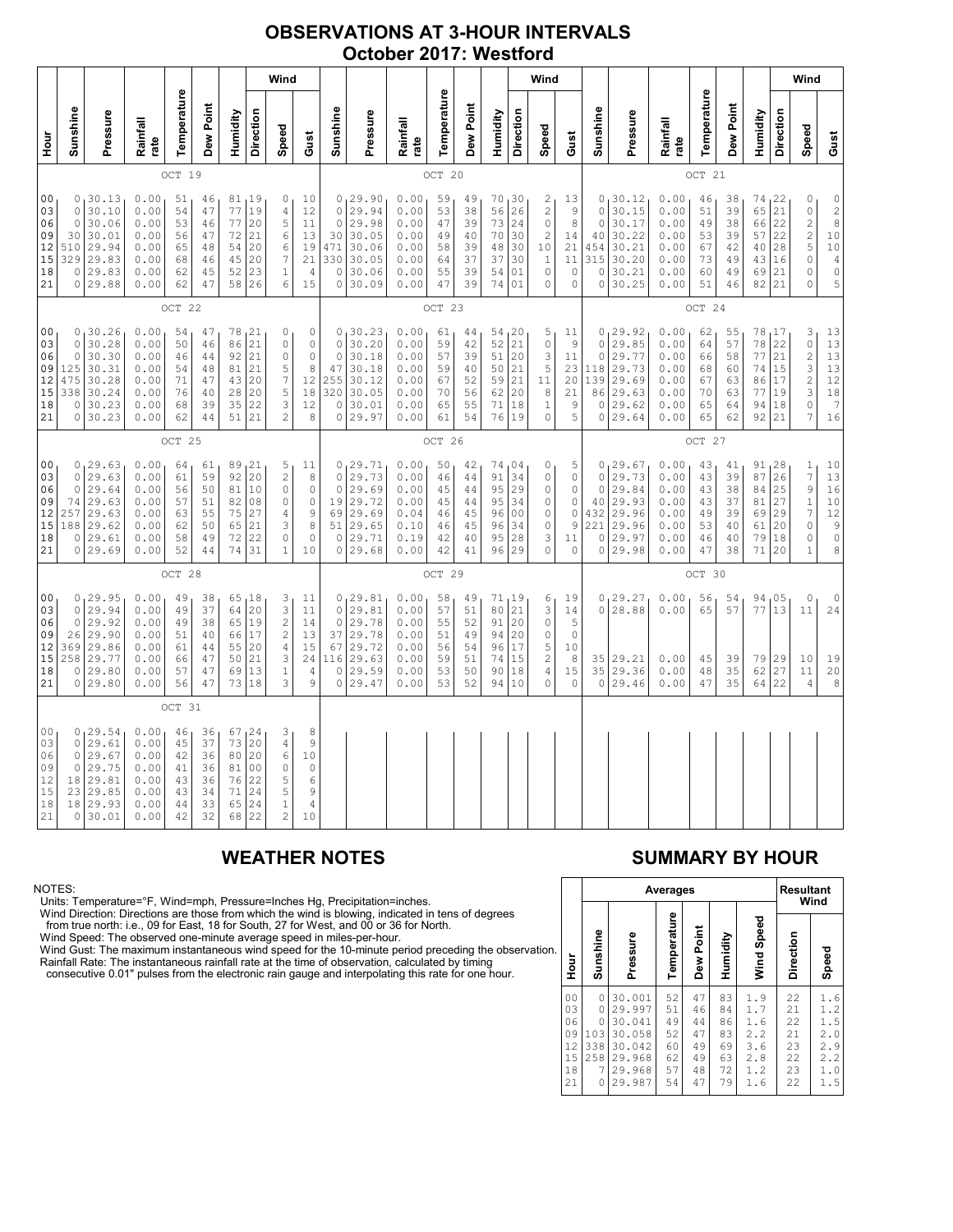## **OBSERVATIONS AT 3-HOUR INTERVALS October 2017: Westford**

|                                                          | Wind                                                  |                                                                           |                                                              |                                              |                                                  |                                              |                                                              |                                                                            |                                                                  |                                                                     |                                                                           |                                                              |                                              |                                              | Wind                                             |                                                           |                                                                                         |                                                                 |                                                              |                                                                         |                                                              |                                              |                                              | Wind                                               |                                                     |                                                                                   |                                                                                                                   |
|----------------------------------------------------------|-------------------------------------------------------|---------------------------------------------------------------------------|--------------------------------------------------------------|----------------------------------------------|--------------------------------------------------|----------------------------------------------|--------------------------------------------------------------|----------------------------------------------------------------------------|------------------------------------------------------------------|---------------------------------------------------------------------|---------------------------------------------------------------------------|--------------------------------------------------------------|----------------------------------------------|----------------------------------------------|--------------------------------------------------|-----------------------------------------------------------|-----------------------------------------------------------------------------------------|-----------------------------------------------------------------|--------------------------------------------------------------|-------------------------------------------------------------------------|--------------------------------------------------------------|----------------------------------------------|----------------------------------------------|----------------------------------------------------|-----------------------------------------------------|-----------------------------------------------------------------------------------|-------------------------------------------------------------------------------------------------------------------|
| Hour                                                     | Sunshine                                              | Pressure                                                                  | Rainfall<br>rate                                             | Temperature                                  | Dew Point                                        | Humidity                                     | Direction                                                    | Speed                                                                      | Gust                                                             | Sunshine                                                            | Pressure                                                                  | Rainfall<br>rate                                             | Temperature                                  | Dew Point                                    | Humidity                                         | Direction                                                 | Speed                                                                                   | Gust                                                            | Sunshine                                                     | Pressure                                                                | Rainfall<br>rate                                             | Temperature                                  | Dew Point                                    | Humidity                                           | Direction                                           | Speed                                                                             | Gust                                                                                                              |
|                                                          | OCT<br>19                                             |                                                                           |                                                              |                                              |                                                  |                                              |                                                              |                                                                            |                                                                  | OCT                                                                 | 20                                                                        |                                                              |                                              |                                              |                                                  |                                                           |                                                                                         |                                                                 | OCT<br>21                                                    |                                                                         |                                                              |                                              |                                              |                                                    |                                                     |                                                                                   |                                                                                                                   |
| 00<br>03<br>06<br>09<br>12<br>15<br>18<br>21             | $\circ$<br>$\circ$<br>30<br>510<br>329<br>0           | 0, 30.13<br>30.10<br>30.06<br>30.01<br>29.94<br>29.83<br>29.83<br>0 29.88 | 0.00<br>0.00<br>0.00<br>0.00<br>0.00<br>0.00<br>0.00<br>0.00 | 51<br>54<br>53<br>56<br>65<br>68<br>62<br>62 | 46<br>47<br>46<br>47<br>48<br>46<br>45<br>47     | 77<br>77<br>72<br>54<br>45<br>52<br>58       | 81,19<br>19<br>20<br>21<br>20<br>20<br>23<br>26              | 0<br>4<br>5<br>6<br>6<br>$\boldsymbol{7}$<br>$1\,$<br>6                    | 10<br>12<br>$11\,$<br>13<br>19<br>21<br>$\sqrt{4}$<br>15         | $\circ$<br>$\circ$<br>30<br>471<br>330<br>$\circ$                   | 0, 29.90<br>29.94<br>29.98<br>30.05<br>30.06<br>30.05<br>30.06<br>0 30.09 | 0.00<br>0.00<br>0.00<br>0.00<br>0.00<br>0.00<br>0.00<br>0.00 | 59<br>53<br>47<br>49<br>58<br>64<br>55<br>47 | 49<br>38<br>39<br>40<br>39<br>37<br>39<br>39 | 70, 30<br>56<br>73<br>70<br>48<br>37<br>54<br>74 | 26<br>24<br>30<br>30<br>30<br>01<br>01                    | 2<br>$\overline{c}$<br>$\circ$<br>$\overline{c}$<br>10<br>1<br>$\mathsf{O}\xspace$<br>0 | 13<br>9<br>8<br>14<br>21<br>11<br>0<br>$\mathbb O$              | $\circ$<br>$\circ$<br>40<br>454<br>315<br>$\circ$<br>$\circ$ | 0, 30.12<br>30.15<br>30.17<br>30.22<br>30.21<br>30.20<br>30.21<br>30.25 | 0.00<br>0.00<br>0.00<br>0.00<br>0.00<br>0.00<br>0.00<br>0.00 | 46<br>51<br>49<br>53<br>67<br>73<br>60<br>51 | 38<br>39<br>38<br>39<br>42<br>49<br>49<br>46 | 74,22<br>65<br>66<br>57<br>40<br>43<br>69<br>82    | $\overline{21}$<br>22<br>22<br>28<br>16<br>21<br>21 | 0<br>$\circ$<br>$\overline{\mathbf{c}}$<br>$\frac{2}{5}$<br>$\mathbb O$<br>0<br>0 | $\begin{array}{c} 0 \\ 2 \\ 8 \end{array}$<br>$10$<br>$10$<br>$\overline{4}$<br>$\mathbb O$<br>5                  |
|                                                          | OCT 22                                                |                                                                           |                                                              |                                              |                                                  |                                              |                                                              |                                                                            |                                                                  | OCT 23                                                              |                                                                           |                                                              |                                              |                                              |                                                  |                                                           |                                                                                         |                                                                 | OCT 24                                                       |                                                                         |                                                              |                                              |                                              |                                                    |                                                     |                                                                                   |                                                                                                                   |
| 00<br>03<br>06<br>09<br>12<br>15<br>18<br>21             | $\circ$<br>$\circ$<br>$125$<br>475<br>338<br>0        | 0, 30.26<br>30.28<br>30.30<br>30.31<br>30.28<br>30.24<br>30.23<br>0 30.23 | 0.00<br>0.00<br>0.00<br>0.00<br>0.00<br>0.00<br>0.00<br>0.00 | 54<br>50<br>46<br>54<br>71<br>76<br>68<br>62 | 47<br>46<br>$4\,4$<br>48<br>47<br>40<br>39<br>44 | 78<br>86<br>92<br>81<br>43<br>28<br>35<br>51 | 21<br>21<br>21<br>21<br>20<br>20<br>22<br>21                 | 0<br>$\mathbf 0$<br>0<br>5<br>$\boldsymbol{7}$<br>5<br>3<br>$\overline{c}$ | 0<br>$\mathbf 0$<br>$\circ$<br>8<br>12<br>18<br>12<br>8          | $\circ$<br>$\circ$<br>47<br>255<br>320<br>0<br>$\mathbf 0$          | 0, 30.23<br>30.20<br>30.18<br>30.18<br>30.12<br>30.05<br>30.01<br>29.97   | 0.00<br>0.00<br>0.00<br>0.00<br>0.00<br>0.00<br>0.00<br>0.00 | 61<br>59<br>57<br>59<br>67<br>70<br>65<br>61 | 44<br>42<br>39<br>40<br>52<br>56<br>55<br>54 | 54<br>52<br>51<br>50<br>59<br>62<br>71<br>76     | 120<br>21<br>20<br>21<br>21<br>20<br>18<br>19             | 5<br>$\circ$<br>3<br>5<br>11<br>8<br>1<br>0                                             | 11<br>9<br>11<br>23<br>20<br>21<br>9<br>5                       | $\circ$<br>$\circ$<br>118<br>139<br>86<br>0<br>$\circ$       | 0, 29.92<br>29.85<br>29.77<br>29.73<br>29.69<br>29.63<br>29.62<br>29.64 | 0.00<br>0.00<br>0.00<br>0.00<br>0.00<br>0.00<br>0.00<br>0.00 | 62<br>64<br>66<br>68<br>67<br>70<br>65<br>65 | 55<br>57<br>58<br>60<br>63<br>63<br>64<br>62 | 78<br>78<br>77<br>74<br>86<br>77<br>94<br>92       | 17<br>22<br>21<br>15<br>17<br>19<br>18<br>21        | 3<br>$\circ$<br>$\frac{2}{3}$<br>$\overline{c}$<br>3<br>$\circ$<br>7              | $\begin{array}{c} 1 \, 3 \\ 1 \, 3 \end{array}$<br>13<br>13<br>12<br>$\begin{array}{c} 18 \\ 7 \end{array}$<br>16 |
|                                                          | OCT 25                                                |                                                                           |                                                              |                                              |                                                  |                                              |                                                              |                                                                            | OCT 26                                                           |                                                                     |                                                                           |                                                              |                                              |                                              |                                                  |                                                           |                                                                                         | OCT 27                                                          |                                                              |                                                                         |                                                              |                                              |                                              |                                                    |                                                     |                                                                                   |                                                                                                                   |
| 00<br>03<br>06<br>09<br>12<br>15<br> 18<br>21            | $\circ$<br>$\circ$<br>74<br>257<br>188<br>0           | 0, 29.63<br>29.63<br>29.64<br>29.63<br>29.63<br>29.62<br>29.61<br>0 29.69 | 0.00<br>0.00<br>0.00<br>0.00<br>0.00<br>0.00<br>0.00<br>0.00 | 64<br>61<br>56<br>57<br>63<br>62<br>58<br>52 | 61<br>59<br>50<br>51<br>55<br>50<br>49<br>44     | 92<br>81<br>82<br>75<br>65<br>72<br>74       | 89,21<br>20<br>10<br>08<br>27<br>21<br>22<br>31              | 5<br>$\overline{c}$<br>$\mathbf 0$<br>0<br>4<br>3<br>0<br>$\mathbf{1}$     | 11<br>8<br>$\circ$<br>$\mathbb O$<br>9<br>8<br>$\mathbf 0$<br>10 | $\mathbf 0$<br>$\circ$<br>19<br>69<br>51<br>0                       | 0, 29.71<br>29.73<br>29.69<br>29.72<br>29.69<br>29.65<br>29.71<br>0 29.68 | 0.00<br>0.00<br>0.00<br>0.00<br>0.04<br>0.10<br>0.19<br>0.00 | 50<br>46<br>45<br>45<br>46<br>46<br>42<br>42 | 42<br>44<br>44<br>44<br>45<br>45<br>40<br>41 | 74<br>91<br>95<br>95<br>96<br>96<br>95<br>96     | 104<br>34<br>29<br>34<br>0 <sub>0</sub><br>34<br>28<br>29 | 0<br>0<br>0<br>0<br>0<br>0<br>3<br>0                                                    | 5<br>0<br>$\circ$<br>$\mathbb O$<br>$\mathbb O$<br>9<br>11<br>0 | $\circ$<br>$\circ$<br>40<br>432<br>221<br>0<br>0             | 0, 29.67<br>29.73<br>29.84<br>29.93<br>29.96<br>29.96<br>29.97<br>29.98 | 0.00<br>0.00<br>0.00<br>0.00<br>0.00<br>0.00<br>0.00<br>0.00 | 43<br>43<br>43<br>43<br>49<br>53<br>46<br>47 | 41<br>39<br>38<br>37<br>39<br>40<br>40<br>38 | $91_128$<br>87<br>84<br>81<br>69<br>61<br>79<br>71 | 26<br>25<br>27<br>29<br>20<br>18<br>20              | $\mathbf{1}$<br>$\overline{7}$<br>9<br>$\mathbf{1}$<br>7<br>0<br>0<br>1           | 10<br>$\begin{array}{c} 13 \\ 16 \end{array}$<br>$10$<br>12<br>$\mathsf 9$<br>$\circ$<br>8                        |
|                                                          |                                                       |                                                                           |                                                              | OCT 28                                       |                                                  |                                              |                                                              |                                                                            |                                                                  |                                                                     |                                                                           |                                                              | OCT 29                                       |                                              |                                                  |                                                           |                                                                                         |                                                                 |                                                              |                                                                         |                                                              | OCT 30                                       |                                              |                                                    |                                                     |                                                                                   |                                                                                                                   |
| 0 <sub>0</sub><br>03<br>06<br>09<br>12<br>15<br>18<br>21 | $\circ$<br>$\Omega$<br>26<br>369<br>258<br>0          | 0, 29.95<br>29.94<br>29.92<br>29.90<br>29.86<br>29.77<br>29.80<br>0 29.80 | 0.00<br>0.00<br>0.00<br>0.00<br>0.00<br>0.00<br>0.00<br>0.00 | 49<br>49<br>49<br>51<br>61<br>66<br>57<br>56 | 38<br>37<br>38<br>40<br>44<br>47<br>47<br>47     | 64<br>65<br>66<br>55<br>50<br>69<br>73       | 65, 18<br>20<br>19<br>17<br>20<br>21<br>13<br>18             | 3<br>3<br>$\overline{c}$<br>$\sqrt{2}$<br>4<br>3<br>$\mathbf{1}$<br>3      | 11<br>11<br>14<br>13<br>15<br>24<br>$\sqrt{4}$<br>9              | $\circ$<br>$\circ$<br>37<br>67<br>116<br>$\mathbf 0$<br>$\mathbf 0$ | 0, 29.81<br>29.81<br>29.78<br>29.78<br>29.72<br>29.63<br>29.59<br>29.47   | 0.00<br>0.00<br>0.00<br>0.00<br>0.00<br>0.00<br>0.00<br>0.00 | 58<br>57<br>55<br>51<br>56<br>59<br>53<br>53 | 49<br>51<br>52<br>49<br>54<br>51<br>50<br>52 | 71<br>80<br>91<br>94<br>96<br>74<br>90<br>94     | 19 ا<br> 21<br>20<br>20<br>17<br>15<br>18<br>10           | 6<br>3<br>$\mathsf{O}\xspace$<br>0<br>5<br>2<br>4<br>0                                  | 19<br>14<br>5<br>$\circ$<br>10<br>8<br>15<br>0                  | 0<br>35<br>35<br>0                                           | 0, 29.27<br>28.88<br>29.21<br>29.36<br>29.46                            | 0.00<br>0.00<br>0.00<br>0.00<br>0.00                         | 56<br>65<br>45<br>48<br>47                   | 54<br>57<br>39<br>35<br>35                   | 94<br>77<br>79<br>62<br>64                         | 05<br>13<br>29<br>27<br>22                          | 0<br>11<br>10<br>11<br>4                                                          | $\mathbb O$<br>24<br>19<br>$\begin{array}{c} 20 \\ 8 \end{array}$                                                 |
|                                                          |                                                       |                                                                           |                                                              | OCT 31                                       |                                                  |                                              |                                                              |                                                                            |                                                                  |                                                                     |                                                                           |                                                              |                                              |                                              |                                                  |                                                           |                                                                                         |                                                                 |                                                              |                                                                         |                                                              |                                              |                                              |                                                    |                                                     |                                                                                   |                                                                                                                   |
| 0 <sub>0</sub><br>03<br>06<br>09<br>12<br>15<br>18<br>21 | 0<br>$\circ$<br>$\circ$<br>18<br>23<br>18<br>$\Omega$ | 0, 29.54<br>29.61<br>29.67<br>29.75<br>29.81<br>29.85<br>29.93<br>30.01   | 0.00<br>0.00<br>0.00<br>0.00<br>0.00<br>0.00<br>0.00<br>0.00 | 46<br>45<br>42<br>41<br>43<br>43<br>44<br>42 | 36<br>37<br>36<br>36<br>36<br>34<br>33<br>32     | 73<br>80<br>81<br>76<br>71<br>65<br>68       | 67, 24<br>20<br>20<br>0 <sub>0</sub><br>22<br>24<br>24<br>22 | 3<br>$\sqrt{4}$<br>6<br>$\circ$<br>5<br>5<br>$\,1\,$<br>$\overline{c}$     | 8<br>9<br>10<br>$\circ$<br>6<br>9<br>$\overline{4}$<br>10        |                                                                     |                                                                           |                                                              |                                              |                                              |                                                  |                                                           |                                                                                         |                                                                 |                                                              |                                                                         |                                                              |                                              |                                              |                                                    |                                                     |                                                                                   |                                                                                                                   |

NOTES:<br>Units: Temperature=°F, Wind=mph, Pressure=Inches Hg, Precipitation=inches.<br>Units: Temperature=°F, Wind=mph, Pressure=Inches Hg, Precipitation=inches.<br>
Yind Direction: Directions are those from which the wind is blow

# **WEATHER NOTES SUMMARY BY HOUR**

|    |                                                          |                                                                 | Averages                                                                     | <b>Resultant</b><br>Wind                     |                                              |                                              |                                                      |                                              |                                                      |
|----|----------------------------------------------------------|-----------------------------------------------------------------|------------------------------------------------------------------------------|----------------------------------------------|----------------------------------------------|----------------------------------------------|------------------------------------------------------|----------------------------------------------|------------------------------------------------------|
| n. | Hour                                                     | Sunshine                                                        | Pressure                                                                     | Temperature                                  | Dew Point                                    | Humidity                                     | Wind Speed                                           | Direction                                    | Speed                                                |
|    | 0 <sub>0</sub><br>03<br>06<br>09<br>12<br>15<br>18<br>21 | 0<br>$\Omega$<br>$\Omega$<br>103<br>338<br>258<br>7<br>$\Omega$ | 30.001<br>29.997<br>30.041<br>30.058<br>30.042<br>29.968<br>29.968<br>29.987 | 52<br>51<br>49<br>52<br>60<br>62<br>57<br>54 | 47<br>46<br>44<br>47<br>49<br>49<br>48<br>47 | 83<br>84<br>86<br>83<br>69<br>63<br>72<br>79 | 1.9<br>1.7<br>1.6<br>2.2<br>3.6<br>2.8<br>1.2<br>1.6 | 22<br>21<br>22<br>21<br>23<br>22<br>23<br>22 | 1.6<br>1.2<br>1.5<br>2.0<br>2.9<br>2.2<br>1.0<br>1.5 |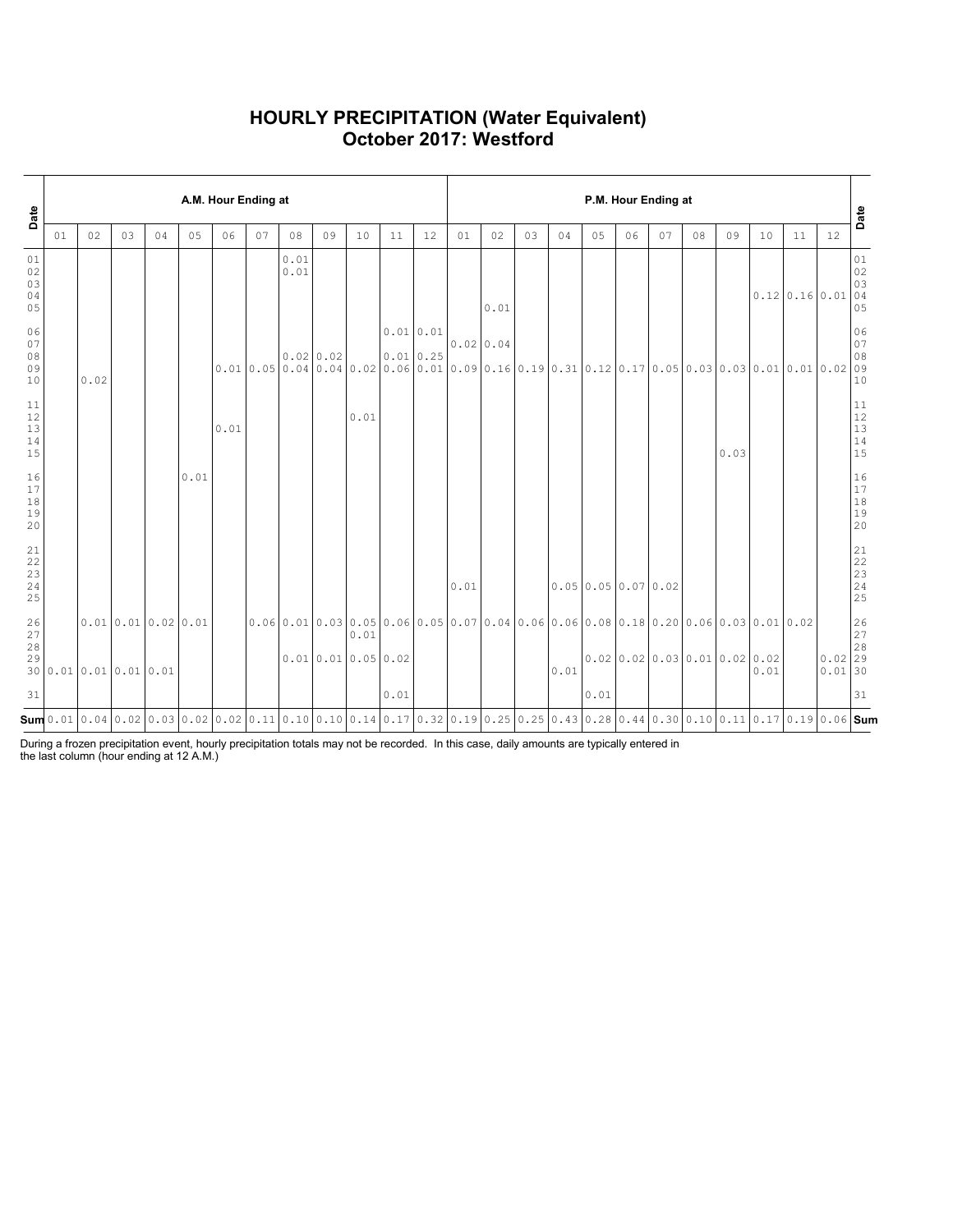### **HOURLY PRECIPITATION (Water Equivalent) October 2017: Westford**

| Date                                                      |    |      |    |                                            |      | A.M. Hour Ending at |    |              |                  |      |                                                                                                                                                                                                                                                                                                                                             |    | P.M. Hour Ending at |      |    |      |                       |    |    |    |                                 |      |                                 |                        |                                                               |  |
|-----------------------------------------------------------|----|------|----|--------------------------------------------|------|---------------------|----|--------------|------------------|------|---------------------------------------------------------------------------------------------------------------------------------------------------------------------------------------------------------------------------------------------------------------------------------------------------------------------------------------------|----|---------------------|------|----|------|-----------------------|----|----|----|---------------------------------|------|---------------------------------|------------------------|---------------------------------------------------------------|--|
|                                                           | 01 | 02   | 03 | 04                                         | 05   | 06                  | 07 | 08           | 09               | 10   | 11                                                                                                                                                                                                                                                                                                                                          | 12 | 01                  | 02   | 03 | 04   | 05                    | 06 | 07 | 08 | 09                              | 10   | 11                              | 12                     | Date                                                          |  |
| 01<br>02<br>03<br>04<br>05                                |    |      |    |                                            |      |                     |    | 0.01<br>0.01 |                  |      |                                                                                                                                                                                                                                                                                                                                             |    |                     | 0.01 |    |      |                       |    |    |    |                                 |      | $0.12 \mid 0.16 \mid 0.01 \mid$ |                        | 01<br>02<br>03<br>04<br>05                                    |  |
| 06<br>07<br>08<br>09<br>10                                |    | 0.02 |    |                                            |      |                     |    |              | $0.02$ 0.02      |      | 0.01 0.01<br>0.010.25<br>$0.010.050.040.040.020.060.010.090.160.190.310.120.170.050.030.030.010.010.0209$                                                                                                                                                                                                                                   |    | $0.02$ 0.04         |      |    |      |                       |    |    |    |                                 |      |                                 |                        | 06<br>07<br>08<br>10                                          |  |
| 11<br>$\begin{array}{c} 12 \\ 13 \end{array}$<br>14<br>15 |    |      |    |                                            |      | 0.01                |    |              |                  | 0.01 |                                                                                                                                                                                                                                                                                                                                             |    |                     |      |    |      |                       |    |    |    | 0.03                            |      |                                 |                        | $11\,$<br>12<br>13<br>14<br>15                                |  |
| 16<br>17<br>$1\,8$<br>19<br>20                            |    |      |    |                                            | 0.01 |                     |    |              |                  |      |                                                                                                                                                                                                                                                                                                                                             |    |                     |      |    |      |                       |    |    |    |                                 |      |                                 |                        | $\begin{array}{c} 16 \\ 17 \end{array}$<br>$1\,8$<br>19<br>20 |  |
| 21<br>22<br>23<br>24<br>25                                |    |      |    |                                            |      |                     |    |              |                  |      |                                                                                                                                                                                                                                                                                                                                             |    | 0.01                |      |    |      | $0.05$ 0.05 0.07 0.02 |    |    |    |                                 |      |                                 |                        | 21<br>22<br>$\frac{23}{24}$<br>25                             |  |
| 26<br>27<br>28<br>29                                      |    |      |    | 0.010.010.020.01<br>30 0.01 0.01 0.01 0.01 |      |                     |    |              | 0.010.010.050.02 | 0.01 | $0.06$  0.01 0.03 0.05 0.06 0.05 0.07 0.04 0.06 0.06 0.08 0.18 0.20 0.06 0.03 0.01 0.02                                                                                                                                                                                                                                                     |    |                     |      |    | 0.01 |                       |    |    |    | $0.02$ 0.02 0.03 0.01 0.02 0.02 | 0.01 |                                 | $0.02$ 29<br>$0.01$ 30 | 26<br>27<br>28                                                |  |
| 31                                                        |    |      |    |                                            |      |                     |    |              |                  |      | 0.01                                                                                                                                                                                                                                                                                                                                        |    |                     |      |    |      | 0.01                  |    |    |    |                                 |      |                                 |                        | 31                                                            |  |
|                                                           |    |      |    |                                            |      |                     |    |              |                  |      | $\mathsf{Sum}$ 0.01 $\mid$ 0.04 $\mid$ 0.02 $\mid$ 0.03 $\mid$ 0.02 $\mid$ 0.02 $\mid$ 0.02 $\mid$ 0.11 $\mid$ 0.10 $\mid$ 0.10 $\mid$ 0.11 $\mid$ 0.14 $\mid$ 0.17 $\mid$ 0.32 $\mid$ 0.11 $\mid$ 0.13 $\mid$ 0.25 $\mid$ 0.25 $\mid$ 0.25 $\mid$ 0.13 $\mid$ 0.28 $\mid$ 0.44 $\mid$ 0.30 $\mid$ 0.10 $\mid$ 0.11 $\mid$ 0.17 $\mid$ 0.19 |    |                     |      |    |      |                       |    |    |    |                                 |      |                                 |                        |                                                               |  |

During a frozen precipitation event, hourly precipitation totals may not be recorded. In this case, daily amounts are typically entered in the last column (hour ending at 12 A.M.)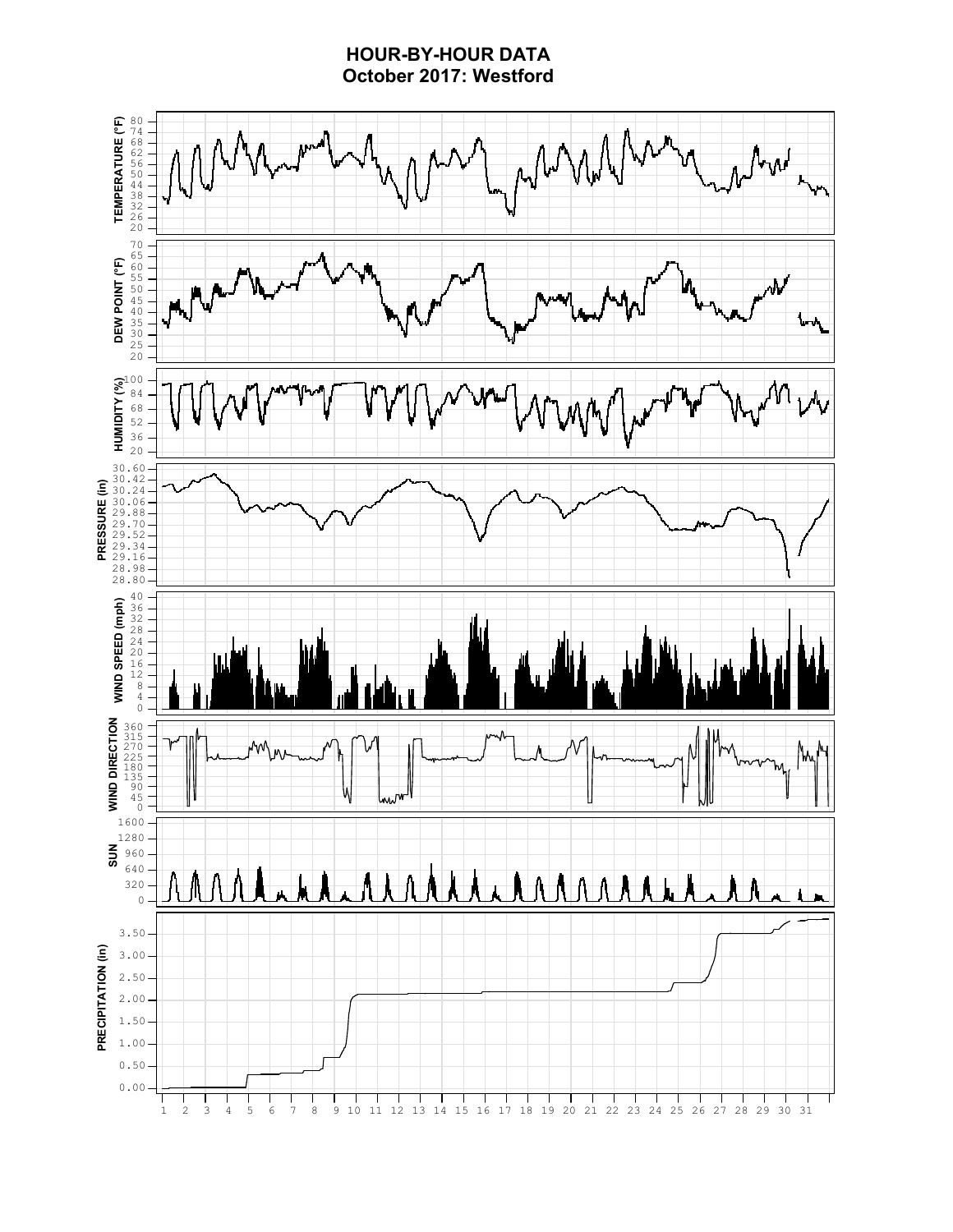## **HOUR-BY-HOUR DATA October 2017: Westford**